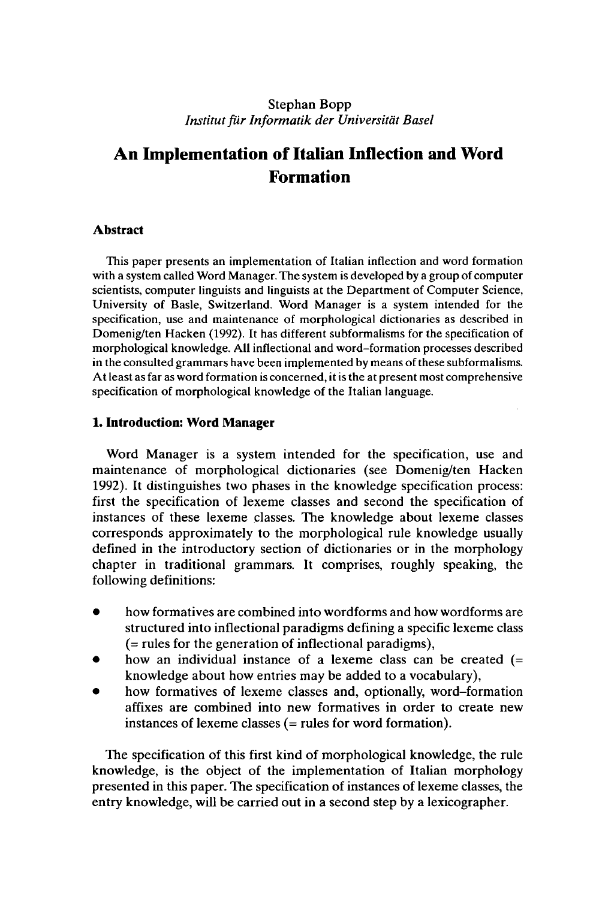### Stephan Bopp *InstitutfürInformatik der Universität Basel*

# **An Implementation ofItalian Inflection and Word Formation**

### **Abstract**

This paper presents an implementation of Italian inflection and word formation with a system called Word Manager. The system is developed by a group of computer scientists, computer linguists and linguists at the Department of Computer Science, University of Basle, Switzerland. Word Manager is a system intended for the specification, use and maintenance of morphological dictionaries as described in Domenig/ten Hacken (1992). It has different subformalisms for the specification of morphological knowledge. All inflectional and word-formation processes described in the consulted grammars have been implemented by means of these subformalisms. Atleast as far as word formation is concerned, it is the at present most comprehensive specification of morphological knowledge of the Italian language.

### **1. Introduction: Word Manager**

Word Manager is a system intended for the specification, use and maintenance of morphological dictionaries (see Domenig/ten Hacken 1992). It distinguishes two phases in the knowledge specification process: first the specification of lexeme classes and second the specification of instances of these lexeme classes. The knowledge about lexeme classes corresponds approximately to the morphological rule knowledge usually defined in the introductory section of dictionaries or in the morphology chapter in traditional grammars. It comprises, roughly speaking, the following definitions:

- how formatives are combined into wordforms and how wordforms are structured into inflectional paradigms defining a specific lexeme class (= rules for the generation of inflectional paradigms),
- how an individual instance of a lexeme class can be created  $(=$ knowledge about how entries may be added to a vocabulary),
- how formatives of lexeme classes and, optionally, word-formation affixes are combined into new formatives in order to create new instances of lexeme classes (= rules for word formation).

The specification of this first kind of morphological knowledge, the rule knowledge, is the object of the implementation of Italian morphology presented in this paper. The specification of instances of lexeme classes, the entry knowledge, will be carried out in a second step by a lexicographer.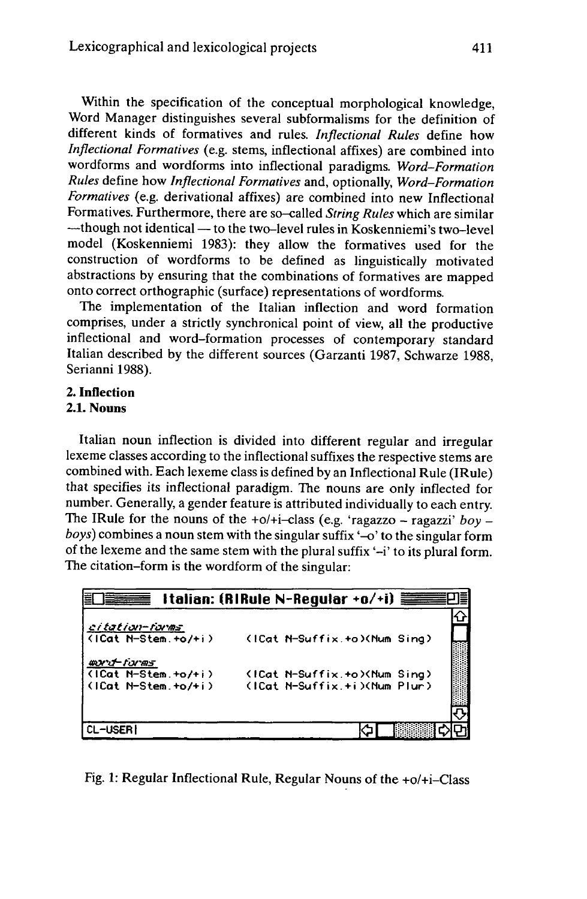Within the specification of the conceptual morphological knowledge, Word Manager distinguishes several subformalisms for the definition of different kinds of formatives and rules. *Inflectional Rules* define how *Inflectional Formatives* (e.g. stems, inflectional affixes) are combined into wordforms and wordforms into inflectional paradigms. *Word-Formation Rules* define how *Inflectional Formatives* and, optionally, *Word-Formation Formatives* (e.g. derivational affixes) are combined into new Inflectional Formatives. Furthermore, there are so-called *String Rules* which are similar -though not identical — to the two-level rules in Koskenniemi's two-level model (Koskenniemi 1983): they allow the formatives used for the construction of wordforms to be defined as linguistically motivated abstractions by ensuring that the combinations of formatives are mapped onto correct orthographic (surface) representations of wordforms.

The implementation of the Italian inflection and word formation comprises, under a strictly synchronical point of view, all the productive inflectional and word-formation processes of contemporary standard Italian described by the different sources (Garzanti 1987, Schwarze 1988, Serianni 1988).

# **2. Inflection**

**2.1. Nouns**

Italian noun inflection is divided into different regular and irregular lexeme classes according to the inflectional suffixes the respective stems are combined with. Each lexeme class is defined by an Inflectional Rule (IRule) that specifies its inflectional paradigm. The nouns are only inflected for number. Generally, a gender feature is attributed individually to each entry. The IRule for the nouns of the +o/+i-class (e.g. 'ragazzo - ragazzi' *boy boys*) combines a noun stem with the singular suffix '-o' to the singular form of the lexeme and the same stem with the plural suffix '-i' to its plural form. The citation-form is the wordform of the singular:

|                                          | Italian: (RIRule N-Regular +o/+i) |
|------------------------------------------|-----------------------------------|
|                                          |                                   |
| citation-forms<br>$(1Cat N-Stem. +o/+i)$ | (ICat N-Suffix.+o)(Num Sing)      |
| ฒxาปี∽ forms<br>(ICat N-Stem.+o/+i)      | (ICat N-Suffix.+o)(Num Sing)      |
| (ICat N-Stem.+o/+i)                      | (ICat N-Suffix.+i)(Num Plur)      |
|                                          |                                   |
| CL-USER                                  |                                   |

Fig. 1: Regular Inflectional Rule, Regular Nouns of the +o/+i-Class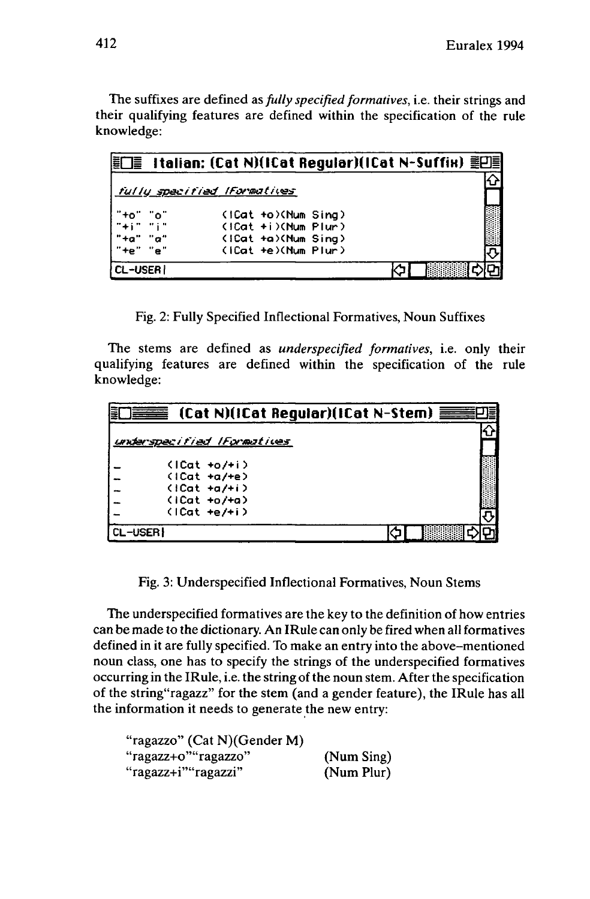The suffixes are defined as*fully specified formatives,* i.e. their strings and their qualifying features are defined within the specification of the rule knowledge:

|                  |     | fully specified Iformatives |  |  |
|------------------|-----|-----------------------------|--|--|
| "+o" "o"         |     | (ICat +o)(Num Sing)         |  |  |
| $-14.17 - 11.17$ |     | $(1Cat + i)(Num$ Plun)      |  |  |
| $+$ "+a"         | "a" | (ICat +a)(Num Sing)         |  |  |
|                  | "e" | (ICat +e)(Num Plur)         |  |  |
| <b>CL-USERI</b>  |     |                             |  |  |

Fig. 2: Fully Specified Inflectional Formatives, Noun Suffixes

The stems are defined as *underspecified formatives,* i.e. only their qualifying features are defined within the specification of the rule knowledge:

| Ę       |                                    |  |
|---------|------------------------------------|--|
|         | underspecified IFormatives         |  |
|         | $(1Cat + 0/+i)$<br>$(1Cat + a/+e)$ |  |
|         | $(1Cat +a/+i)$<br>$(1Cat + 0/+a)$  |  |
|         | $(1Cat +e/+i)$                     |  |
| CL-USER |                                    |  |

Fig. 3: Underspecified Inflectional Formatives, Noun Stems

The underspecified formatives are the key to the definition of how entries can be made to the dictionary. An IRule can only be fired when all formatives defined in it are fully specified. To make an entry into the above-mentioned noun class, one has to specify the strings of the underspecified formatives occurring in the IRule, i.e. the string of the noun stem. After the specification of the string"ragazz" for the stem (and a gender feature), the IRule has all the information it needs to generate the new entry:

| "ragazzo" (Cat N) (Gender M) |            |
|------------------------------|------------|
| "ragazz+o""ragazzo"          | (Num Sing) |
| "ragazz+i""ragazzi"          | (Num Plur) |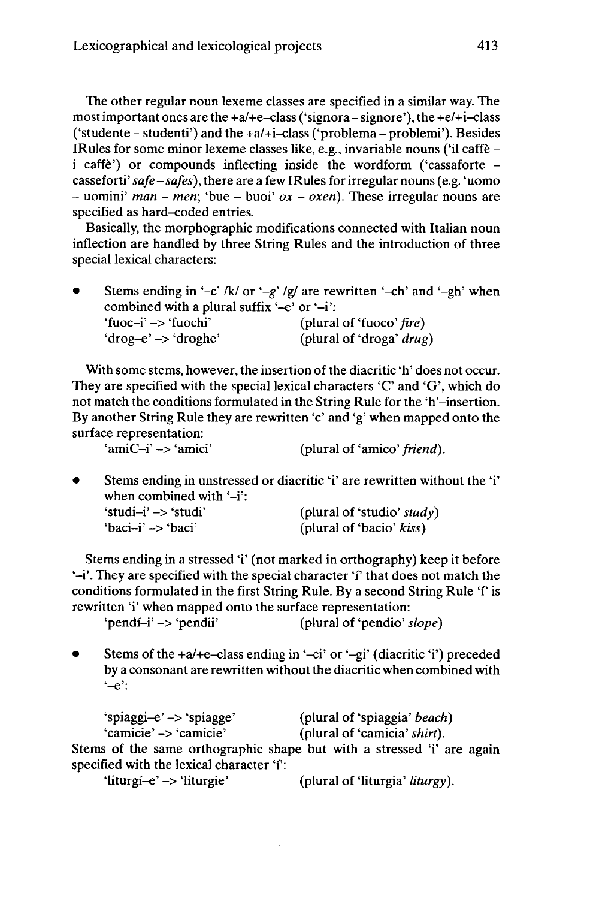The other regular noun lexeme classes are specified in a similar way. The most important ones are the  $+a/+e$ -class ('signora - signore'), the  $+e/+i$ -class ('studente – studenti') and the  $+a/+i$ -class ('problema – problemi'). Besides IRules for some minor lexeme classes like, e.g., invariable nouns ('il caffè <sup>i</sup> caffè') or compounds inflecting inside the wordform ('cassaforte casseforti' *safe-safes),* there are a few IRules for irregular nouns (e.g. 'uomo - uomini' *man* - *men;* 'bue - buoi' *ox - oxen).* These irregular nouns are specified as hard-coded entries.

Basically, the morphographic modifications connected with Italian noun inflection are handled by three String Rules and the introduction of three special lexical characters:

Stems ending in '-c' /k/ or '-g' /g/ are rewritten '-ch' and '-gh' when combined with a plural suffix '-e' or '-i':<br>
'fuoc-i' -> 'fuochi' (plural 'fuoc-i' -> 'fuochi' (plural of 'fuoco' *fire)* (plural of 'droga' *drug*)

With some stems, however, the insertion of the diacritic 'h' does not occur. They are specified with the special lexical characters  $C'$  and  $G'$ , which do not match the conditions formulated in the String Rule for the 'h'-insertion. By another String Rule they are rewritten 'c' and 'g' when mapped onto the surface representation:

'amiC-i' -> 'amici' (plural of 'amico' *friend).*

• Stems ending in unstressed or diacritic 'i' are rewritten without the 'i' when combined with  $-$ i': 'studi-i' -> 'studi' (plural of 'studio' *study)*

| 'studi-i' -> 'studi' | (plural of 'studio' study) |
|----------------------|----------------------------|
| 'baci-i' -> 'baci'   | (plural of 'bacio' kiss)   |

Stems ending in a stressed 'i' (not marked in orthography) keep it before '-i'. They are specified with the special character 'f that does not match the conditions formulated in the first String Rule. By a second String Rule 'f' is rewritten 'i' when mapped onto the surface representation:<br>'pendi-i' -> 'pendii' (plural of 'pendio' s

(plural of 'pendio' *slope*)

Stems of the +a/+e-class ending in '-ci' or '-gi' (diacritic 'i') preceded by a consonant are rewritten without the diacritic when combined with  $-$ e':

'spiaggi-e' -> 'spiagge' (plural of 'spiaggia' *beach)* (plural of 'camicia' *shirt*). Stems of the same orthographic shape but with a stressed 'i' are again specified with the lexical character 'i':

'liturgi-e' -> 'liturgie' (plural of 'liturgia' *liturgy).*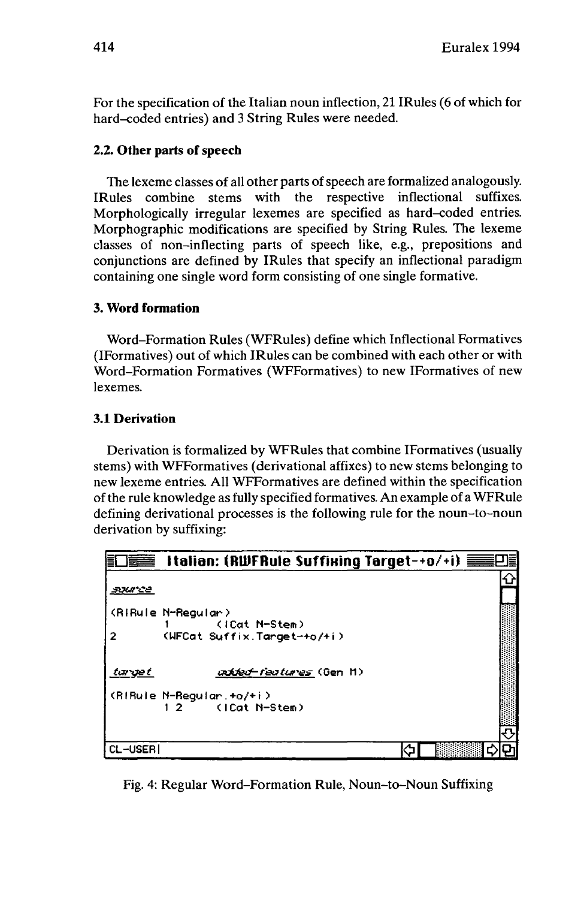For the specification of the Italian noun inflection, 21 IRules (6 of which for hard-coded entries) and 3 String Rules were needed.

# **2.2. Other parts ofspeech**

The lexeme classes of all other parts of speech are formalized analogously. IRules combine stems with the respective inflectional suffixes. Morphologically irregular lexemes are specified as hard-coded entries. Morphographic modifications are specified by String Rules. The lexeme classes of non-inflecting parts of speech like, e.g., prepositions and conjunctions are defined by IRules that specify an inflectional paradigm containing one single word form consisting of one single formative.

# **3. Word formation**

Word-Formation Rules (WFRules) define which Inflectional Formatives (IFormatives) out of which IRules can be combined with each other or with Word-Formation Formatives (WFFormatives) to new IFormatives of new lexemes.

# **3.1 Derivation**

Derivation is formalized by WFRules that combine IFormatives (usually stems) with WFFormatives (derivational affixes) to new stems belonging to new lexeme entries. All WFFormatives are defined within the specification ofthe rule knowledge as fully specified formatives. An example of a WFRule defining derivational processes is the following rule for the noun-to-noun derivation by suffixing:



Fig. 4: Regular Word-Formation Rule, Noun-to-Noun Suffixing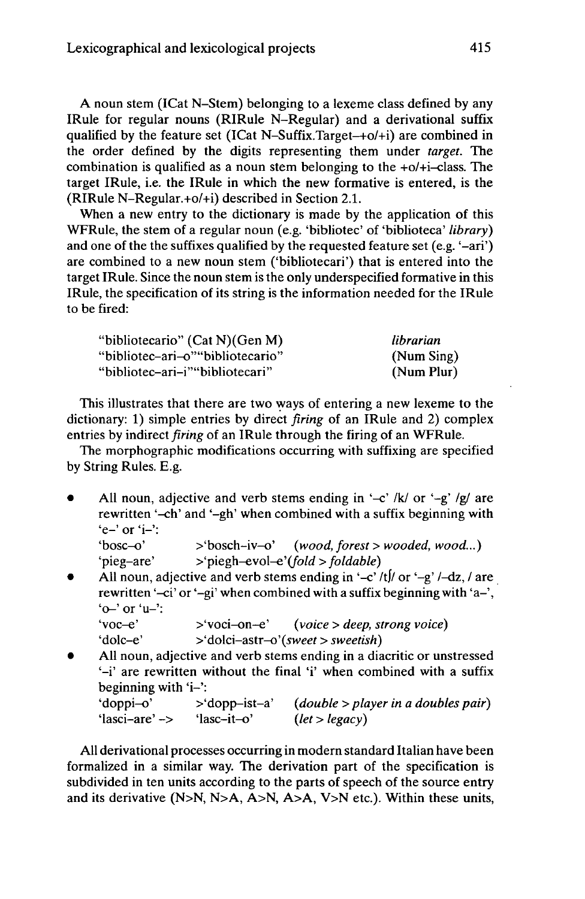A noun stem (ICat N-Stem) belonging to a lexeme class defined by any IRule for regular nouns (RIRule N-Regular) and a derivational suffix qualified by the feature set (ICat N-Suffix.Target-+o/+i) are combined in the order defined by the digits representing them under *target.* The combination is qualified as a noun stem belonging to the  $+o/+i$ -class. The target IRule, i.e. the IRule in which the new formative is entered, is the (RIRule N-Regular.+o/+i) described in Section 2.1.

When a new entry to the dictionary is made by the application of this WFRule, the stem of a regular noun (e.g. 'bibliotec' of 'biblioteca' *library)* and one of the the suffixes qualified by the requested feature set (e.g. '-ari') are combined to a new noun stem ('bibliotecari') that is entered into the target IRule. Since the noun stem is the only underspecified formative in this IRule, the specification of its string is the information needed for the IRule to be fired:

| "bibliotecario" (Cat N) (Gen M)   | librarian  |
|-----------------------------------|------------|
| "bibliotec–ari–o" "bibliotecario" | (Num Sing) |
| "bibliotec–ari–i""bibliotecari"   | (Num Plur) |

This illustrates that there are two ways of entering a new lexeme to the dictionary: 1) simple entries by direct *firing* of an IRule and 2) complex entries by indirect*firing* of an IRule through the firing of an WFRule.

The morphographic modifications occurring with suffixing are specified by String Rules. E.g.

All noun, adjective and verb stems ending in '-c' /k/ or '-g' /g/ are rewritten '-ch' and '-gh' when combined with a suffix beginning with 'e-' or 'i-':<br>'bosc-o'

```
\Rightarrow 'bosch-iv-o' (wood, forest > wooded, wood...)
'pieg-are' >'piegh-evol-e'(fold > foldable)
```
All noun, adjective and verb stems ending in '-c' /t|/ or '-g' /-dz, / are rewritten '-ci' or '-gi' when combined with a suffix beginning with 'a-',  $'o-'$  or  $'u-'$ :

```
'voc-e' >'voci-on-e' (voice > deep, strong voice)
'dolc-e' >'dolci-astr-o'(sweet > sweetish)
```
• All noun, adjective and verb stems ending in a diacritic or unstressed '-i' are rewritten without the final 'i' when combined with a suffix beginning with 'i-':

| 'doppi-o'      | $>$ 'dopp-ist-a' | (double > player in a doubles pair) |
|----------------|------------------|-------------------------------------|
| 'lasci-are' -> | 'lasc-it-o'      | (left > legacy)                     |

All derivational processes occurring in modern standard Italian have been formalized in a similar way. The derivation part of the specification is subdivided in ten units according to the parts of speech of the source entry and its derivative (N>N, N>A, A>N, A>A, V>N etc.). Within these units,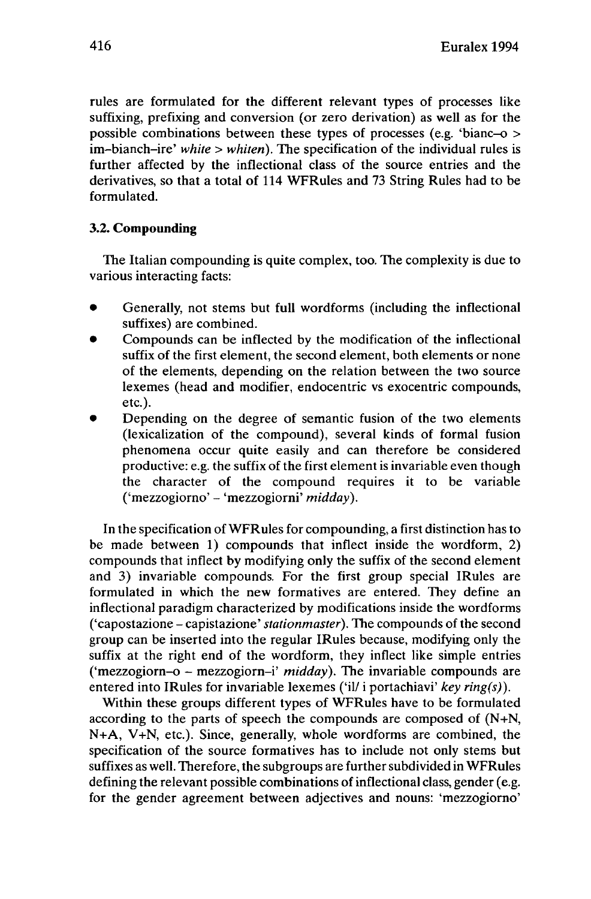rules are formulated for the different relevant types of processes like suffixing, prefixing and conversion (or zero derivation) as well as for the possible combinations between these types of processes (e.g. 'bianc-o > im-bianch-ire' *white <sup>&</sup>gt; whiten).* The specification of the individual rules is further affected by the inflectional class of the source entries and the derivatives, so that a total of 114 WFRules and 73 String Rules had to be formulated.

# **3.2. Compounding**

The Italian compounding is quite complex, too. The complexity is due to various interacting facts:

- Generally, not stems but full wordforms (including the inflectional suffixes) are combined.
- Compounds can be inflected by the modification of the inflectional suffix of the first element, the second element, both elements or none of the elements, depending on the relation between the two source lexemes (head and modifier, endocentric vs exocentric compounds, etc.).
- Depending on the degree of semantic fusion of the two elements (lexicalization of the compound), several kinds of formal fusion phenomena occur quite easily and can therefore be considered productive: e.g. the suffix of the first element is invariable even though the character of the compound requires it to be variable ('mezzogiorno' - 'mezzogiorni' *midday).*

In the specification of WFRules for compounding, a first distinction has to be made between 1) compounds that inflect inside the wordform, 2) compounds that inflect by modifying only the suffix of the second element and 3) invariable compounds. For the first group special IRules are formulated in which the new formatives are entered. They define an inflectional paradigm characterized by modifications inside the wordforms ('capostazione - capistazione' *Stationmaster).* The compounds of the second group can be inserted into the regular IRules because, modifying only the suffix at the right end of the wordform, they inflect like simple entries ('mezzogiorn-o - mezzogiorn-i' *midday).* The invariable compounds are entered into IRules for invariable lexemes ('il/ i portachiavi' *key ring(s)).*

Within these groups different types of WFRules have to be formulated according to the parts of speech the compounds are composed of (N+N, N+A, V+N, etc.). Since, generally, whole wordforms are combined, the specification of the source formatives has to include not only stems but suffixes as well. Therefore, the subgroups are further subdivided in WFRules defining the relevant possible combinations of inflectional class, gender (e.g. for the gender agreement between adjectives and nouns: 'mezzogiorno'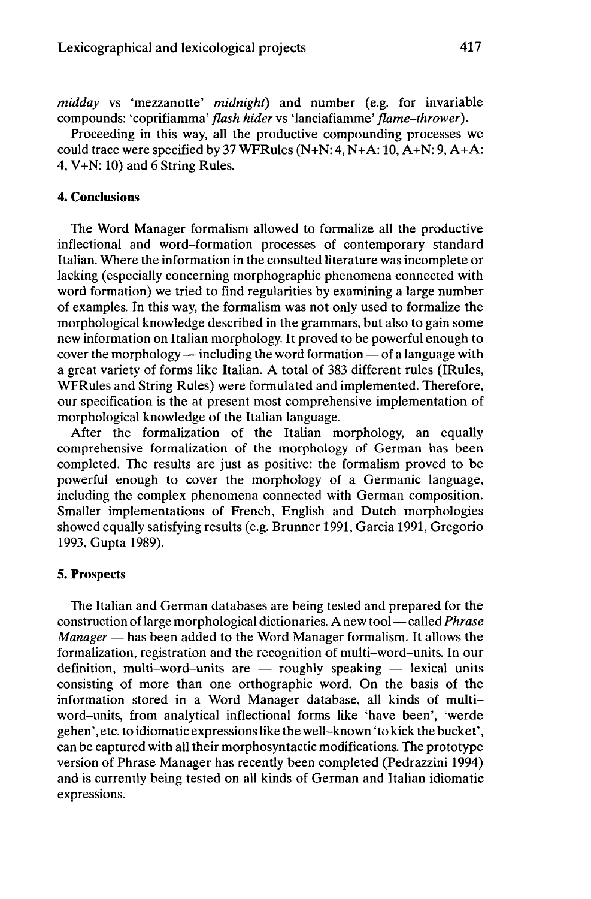*midday* vs 'mezzanotte' *midnight)* and number (e.g. for invariable compounds: 'coprifiamma' *flash hider* vs 'lanciafiamme' *flame-thrower*).

Proceeding in this way, all the productive compounding processes we could trace were specified by 37 WFRules  $(N+N: 4, N+A: 10, A+N: 9, A+A:$ 4, V+N: 10) and 6 String Rules.

### 4. Conclusions

The Word Manager formalism allowed to formalize all the productive inflectional and word-formation processes of contemporary standard Italian. Where the information in the consulted literature was incomplete or lacking (especially concerning morphographic phenomena connected with word formation) we tried to find regularities by examining a large number of examples. In this way, the formalism was not only used to formalize the morphological knowledge described in the grammars, but also to gain some new information on Italian morphology. It proved to be powerful enough to<br>cover the morphology — including the word formation — of a language with a great variety of forms like Italian. A total of 383 different rules (IRules, WFRules and String Rules) were formulated and implemented. Therefore, our specification is the at present most comprehensive implementation of morphological knowledge of the Italian language.

After the formalization of the Italian morphology, an equally comprehensive formalization of the morphology of German has been completed. The results are just as positive: the formalism proved to be powerful enough to cover the morphology of a Germanic language, including the complex phenomena connected with German composition. Smaller implementations of French, English and Dutch morphologies showed equally satisfying results (e.g. Brunner 1991, Garcia 1991, Gregorio 1993, Gupta 1989).

#### 5. Prospects

The Italian and German databases are being tested and prepared for the construction of large morphological dictionaries. A new tool—called *Phrase Manager* — has been added to the Word Manager formalism. It allows the formalization, registration and the recognition of multi-word-units. In our definition, multi-word-units are  $-$  roughly speaking  $-$  lexical units consisting of more than one orthographic word. On the basis of the information stored in a Word Manager database, all kinds of multiword-units, from analytical inflectional forms like 'have been', 'werde gehen', etc. to idiomatic expressionslike the well-known 'to kick the bucket', can be captured with all their morphosyntactic modifications. The prototype version of Phrase Manager has recently been completed (Pedrazzini 1994) and is currently being tested on all kinds of German and Italian idiomatic expressions.